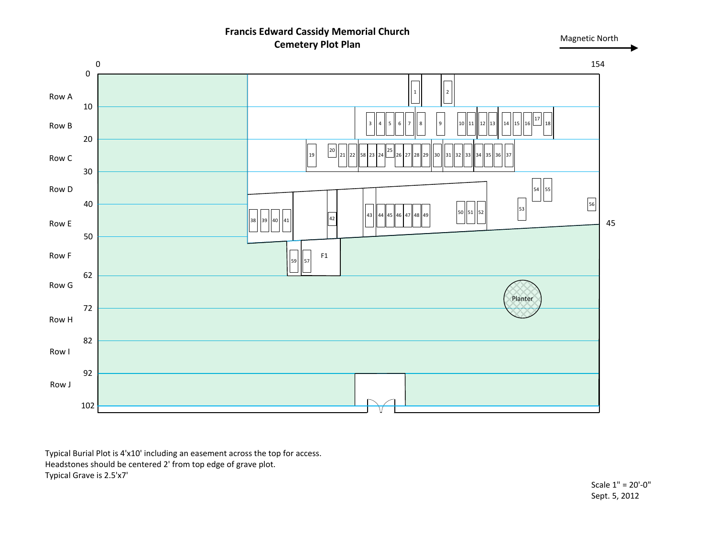## **Francis Edward Cassidy Memorial Church Cemetery Plot Plan**

Magnetic North





Typical Burial Plot is 4'x10' including an easement across the top for access. Headstones should be centered 2' from top edge of grave plot. Typical Grave is 2.5'x7'

Scale 1" = 20'-0" Sept. 5, 2012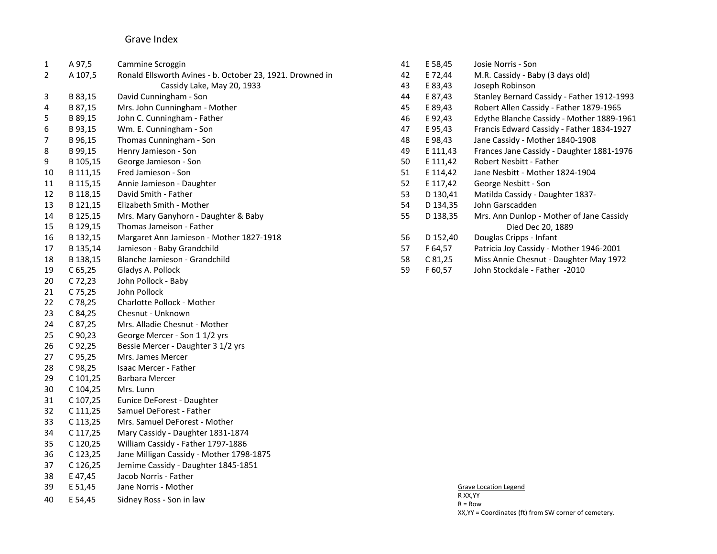## Grave Index

| 1              | A 97,5    | Cammine Scroggin                                          | 41 | E 58,45  | Josie Norris - Son                         |
|----------------|-----------|-----------------------------------------------------------|----|----------|--------------------------------------------|
| $\overline{2}$ | A 107,5   | Ronald Ellsworth Avines - b. October 23, 1921. Drowned in | 42 | E 72,44  | M.R. Cassidy - Baby (3 days old)           |
|                |           | Cassidy Lake, May 20, 1933                                | 43 | E 83,43  | Joseph Robinson                            |
| 3              | B 83,15   | David Cunningham - Son                                    | 44 | E 87,43  | Stanley Bernard Cassidy - Father 1912-1993 |
| 4              | B 87,15   | Mrs. John Cunningham - Mother                             | 45 | E 89,43  | Robert Allen Cassidy - Father 1879-1965    |
| 5              | B 89,15   | John C. Cunningham - Father                               | 46 | E 92,43  | Edythe Blanche Cassidy - Mother 1889-1961  |
| 6              | B 93,15   | Wm. E. Cunningham - Son                                   | 47 | E 95,43  | Francis Edward Cassidy - Father 1834-1927  |
| 7              | B 96,15   | Thomas Cunningham - Son                                   | 48 | E 98,43  | Jane Cassidy - Mother 1840-1908            |
| 8              | B 99,15   | Henry Jamieson - Son                                      | 49 | E 111,43 | Frances Jane Cassidy - Daughter 1881-1976  |
| 9              | B 105,15  | George Jamieson - Son                                     | 50 | E 111,42 | Robert Nesbitt - Father                    |
| 10             | B 111,15  | Fred Jamieson - Son                                       | 51 | E 114,42 | Jane Nesbitt - Mother 1824-1904            |
| 11             | B 115,15  | Annie Jamieson - Daughter                                 | 52 | E 117,42 | George Nesbitt - Son                       |
| 12             | B 118,15  | David Smith - Father                                      | 53 | D 130,41 | Matilda Cassidy - Daughter 1837-           |
| 13             | B 121,15  | Elizabeth Smith - Mother                                  | 54 | D 134,35 | John Garscadden                            |
| 14             | B 125,15  | Mrs. Mary Ganyhorn - Daughter & Baby                      | 55 | D 138,35 | Mrs. Ann Dunlop - Mother of Jane Cassidy   |
| 15             | B 129,15  | Thomas Jameison - Father                                  |    |          | Died Dec 20, 1889                          |
| 16             | B 132,15  | Margaret Ann Jamieson - Mother 1827-1918                  | 56 | D 152,40 | Douglas Cripps - Infant                    |
| 17             | B 135,14  | Jamieson - Baby Grandchild                                | 57 | F 64,57  | Patricia Joy Cassidy - Mother 1946-2001    |
| 18             | B 138,15  | Blanche Jamieson - Grandchild                             | 58 | C81,25   | Miss Annie Chesnut - Daughter May 1972     |
| 19             | $C$ 65,25 | Gladys A. Pollock                                         | 59 | F 60,57  | John Stockdale - Father -2010              |
| 20             | C 72,23   | John Pollock - Baby                                       |    |          |                                            |
| 21             | C 75,25   | John Pollock                                              |    |          |                                            |
| 22             | C 78,25   | Charlotte Pollock - Mother                                |    |          |                                            |
| 23             | C 84,25   | Chesnut - Unknown                                         |    |          |                                            |
| 24             | C 87,25   | Mrs. Alladie Chesnut - Mother                             |    |          |                                            |
| 25             | C 90,23   | George Mercer - Son 1 1/2 yrs                             |    |          |                                            |
| 26             | C92,25    | Bessie Mercer - Daughter 3 1/2 yrs                        |    |          |                                            |
| 27             | C 95,25   | Mrs. James Mercer                                         |    |          |                                            |
| 28             | C 98,25   | Isaac Mercer - Father                                     |    |          |                                            |
| 29             | C 101,25  | Barbara Mercer                                            |    |          |                                            |
| 30             | C 104,25  | Mrs. Lunn                                                 |    |          |                                            |
| 31             | C 107,25  | Eunice DeForest - Daughter                                |    |          |                                            |
| 32             | C 111,25  | Samuel DeForest - Father                                  |    |          |                                            |
| 33             | C 113,25  | Mrs. Samuel DeForest - Mother                             |    |          |                                            |
| 34             | C 117,25  | Mary Cassidy - Daughter 1831-1874                         |    |          |                                            |
| 35             | C 120,25  | William Cassidy - Father 1797-1886                        |    |          |                                            |
| 36             | C 123,25  | Jane Milligan Cassidy - Mother 1798-1875                  |    |          |                                            |
| 37             | C 126,25  | Jemime Cassidy - Daughter 1845-1851                       |    |          |                                            |
| 38             | E 47,45   | Jacob Norris - Father                                     |    |          |                                            |
| 39             | E 51,45   | Jane Norris - Mother                                      |    |          | <b>Grave Location Legend</b>               |
| 40             | E 54.45   | Sidney Ross - Son in law                                  |    |          | R XX, YY<br>$n - n -$                      |

 $R = Row$ XX,YY = Coordinates (ft) from SW corner of cemetery.